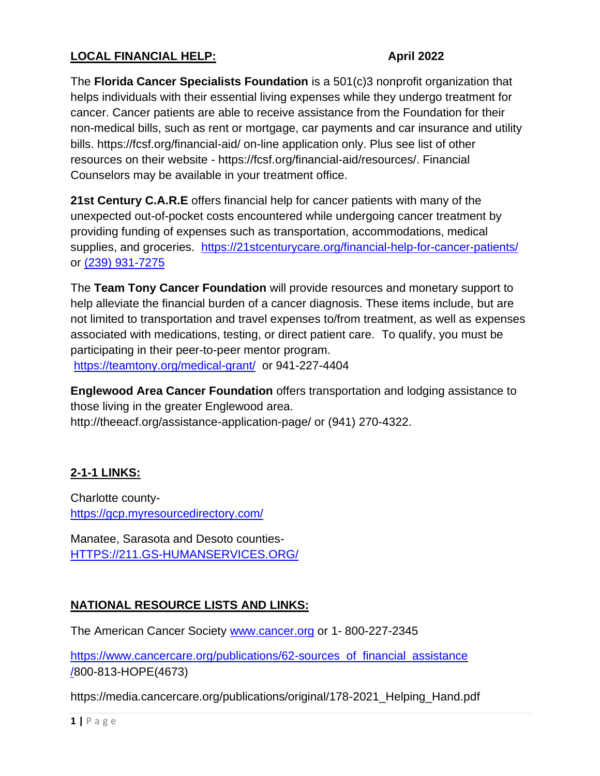## **LOCAL FINANCIAL HELP: April 2022**

The **Florida Cancer Specialists Foundation** is a 501(c)3 nonprofit organization that helps individuals with their essential living expenses while they undergo treatment for cancer. Cancer patients are able to receive assistance from the Foundation for their non-medical bills, such as rent or mortgage, car payments and car insurance and utility bills. https://fcsf.org/financial-aid/ on-line application only. Plus see list of other resources on their website - https://fcsf.org/financial-aid/resources/. Financial Counselors may be available in your treatment office.

**21st Century C.A.R.E** offers financial help for cancer patients with many of the unexpected out-of-pocket costs encountered while undergoing cancer treatment by providing funding of expenses such as transportation, accommodations, medical supplies, and groceries. https://21stcenturycare.org/financial-help-for-cancer-patients/ or [\(239\) 931-7275](https://www.google.com/search?q=21st+century+care&oq=21st+century+CARE&aqs=chrome.0.0l6.8543j0j4&sourceid=chrome&ie=UTF-8)

The **Team Tony Cancer Foundation** will provide resources and monetary support to help alleviate the financial burden of a cancer diagnosis. These items include, but are not limited to transportation and travel expenses to/from treatment, as well as expenses associated with medications, testing, or direct patient care. To qualify, you must be participating in their peer-to-peer mentor program. <https://teamtony.org/medical-grant/> or 941-227-4404

**Englewood Area Cancer Foundation** offers transportation and lodging assistance to those living in the greater Englewood area. http://theeacf.org/assistance-application-page/ or (941) 270-4322.

## **2-1-1 LINKS:**

Charlotte county<https://gcp.myresourcedirectory.com/>

Manatee, Sarasota and Desoto counties-[HTTPS://211.GS-HUMANSERVICES.ORG/](https://211.gs-humanservices.org/)

## **NATIONAL RESOURCE LISTS AND LINKS:**

The American Cancer Society [www.cancer.org](http://www.cancer.or/) or 1- 800-227-2345

[https://www.cancercare.org/publications/62-sources\\_of\\_financial\\_assistance](https://www.cancercare.org/publications/62-sources_of_financial_assistance/) [/8](https://www.cancercare.org/publications/62-sources_of_financial_assistance/)00-813-HOPE(4673)

https://media.cancercare.org/publications/original/178-2021 Helping Hand.pdf